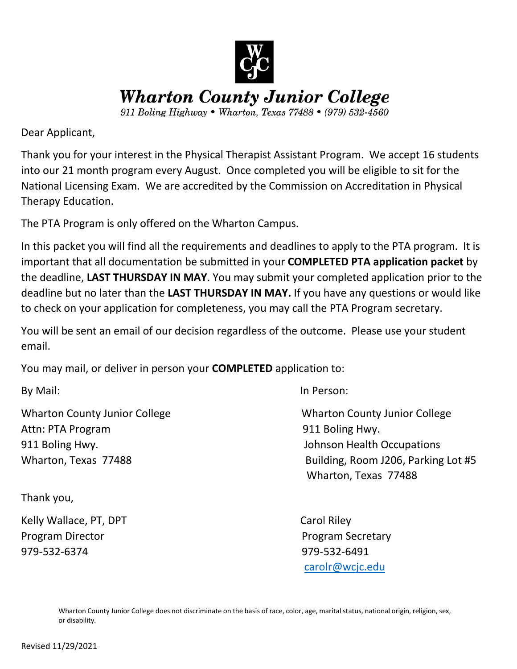

**Wharton County Junior College** 

911 Boling Highway • Wharton, Texas 77488 • (979) 532-4560

Dear Applicant,

Thank you for your interest in the Physical Therapist Assistant Program. We accept 16 students into our 21 month program every August. Once completed you will be eligible to sit for the National Licensing Exam. We are accredited by the Commission on Accreditation in Physical Therapy Education.

The PTA Program is only offered on the Wharton Campus.

In this packet you will find all the requirements and deadlines to apply to the PTA program. It is important that all documentation be submitted in your **COMPLETED PTA application packet** by the deadline, **LAST THURSDAY IN MAY**. You may submit your completed application prior to the deadline but no later than the **LAST THURSDAY IN MAY.** If you have any questions or would like to check on your application for completeness, you may call the PTA Program secretary.

You will be sent an email of our decision regardless of the outcome. Please use your student email.

You may mail, or deliver in person your **COMPLETED** application to:

Wharton County Junior College Wharton County Junior College Attn: PTA Program 2008 10 2009 10 2009 10 2011 Boling Hwy. 911 Boling Hwy. Johnson Health Occupations

Thank you,

Kelly Wallace, PT, DPT Carol Riley Program Director **Program Secretary** 979-532-6374 979-532-6491

By Mail: In Person:

Wharton, Texas 77488 **Building, Room J206, Parking Lot #5** Wharton, Texas 77488

[carolr@wcjc.edu](mailto:carolr@wcjc.edu)

Wharton County Junior College does not discriminate on the basis of race, color, age, marital status, national origin, religion, sex, or disability.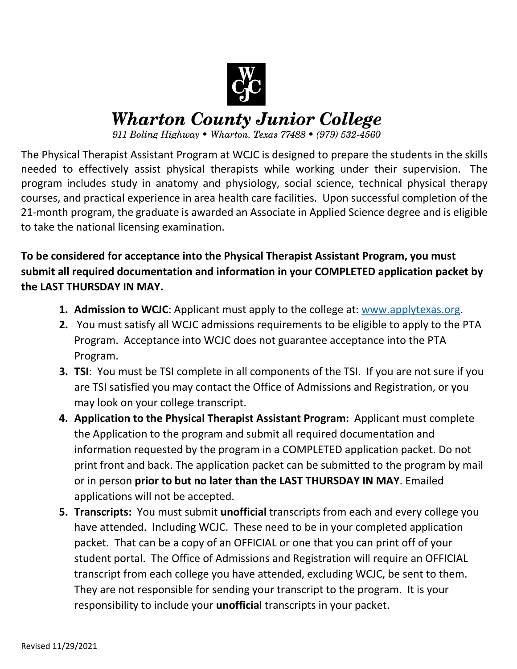

# **Wharton County Junior College**

911 Boling Highway • Wharton, Texas 77488 • (979) 532-4560

The Physical Therapist Assistant Program at WCJC is designed to prepare the students in the skills needed to effectively assist physical therapists while working under their supervision. The program includes study in anatomy and physiology, social science, technical physical therapy courses, and practical experience in area health care facilities. Upon successful completion of the 21-month program, the graduate is awarded an Associate in Applied Science degree and is eligible to take the national licensing examination.

**To be considered for acceptance into the Physical Therapist Assistant Program, you must submit all required documentation and information in your COMPLETED application packet by the LAST THURSDAY IN MAY.**

- **1. Admission to WCJC**: Applicant must apply to the college at: [www.applytexas.org.](http://www.applytexas.org/)
- **2.** You must satisfy all WCJC admissions requirements to be eligible to apply to the PTA Program. Acceptance into WCJC does not guarantee acceptance into the PTA Program.
- **3. TSI**: You must be TSI complete in all components of the TSI. If you are not sure if you are TSI satisfied you may contact the Office of Admissions and Registration, or you may look on your college transcript.
- **4. Application to the Physical Therapist Assistant Program:** Applicant must complete the Application to the program and submit all required documentation and information requested by the program in a COMPLETED application packet. Do not print front and back. The application packet can be submitted to the program by mail or in person **prior to but no later than the LAST THURSDAY IN MAY**. Emailed applications will not be accepted.
- **5. Transcripts:** You must submit **unofficial** transcripts from each and every college you have attended. Including WCJC. These need to be in your completed application packet. That can be a copy of an OFFICIAL or one that you can print off of your student portal. The Office of Admissions and Registration will require an OFFICIAL transcript from each college you have attended, excluding WCJC, be sent to them. They are not responsible for sending your transcript to the program. It is your responsibility to include your **unofficia**l transcripts in your packet.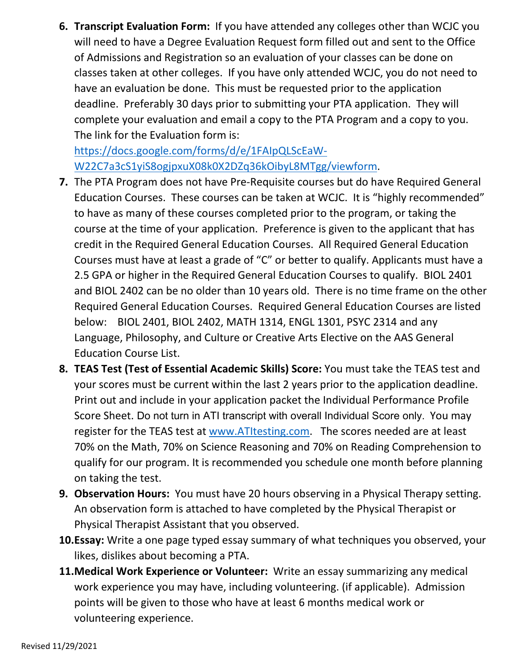**6. Transcript Evaluation Form:** If you have attended any colleges other than WCJC you will need to have a Degree Evaluation Request form filled out and sent to the Office of Admissions and Registration so an evaluation of your classes can be done on classes taken at other colleges. If you have only attended WCJC, you do not need to have an evaluation be done. This must be requested prior to the application deadline. Preferably 30 days prior to submitting your PTA application. They will complete your evaluation and email a copy to the PTA Program and a copy to you. The link for the Evaluation form is:

[https://docs.google.com/forms/d/e/1FAIpQLScEaW-](https://docs.google.com/forms/d/e/1FAIpQLScEaW-W22C7a3cS1yiS8ogjpxuX08k0X2DZq36kOibyL8MTgg/viewform)[W22C7a3cS1yiS8ogjpxuX08k0X2DZq36kOibyL8MTgg/viewform.](https://docs.google.com/forms/d/e/1FAIpQLScEaW-W22C7a3cS1yiS8ogjpxuX08k0X2DZq36kOibyL8MTgg/viewform)

- **7.** The PTA Program does not have Pre-Requisite courses but do have Required General Education Courses. These courses can be taken at WCJC. It is "highly recommended" to have as many of these courses completed prior to the program, or taking the course at the time of your application. Preference is given to the applicant that has credit in the Required General Education Courses. All Required General Education Courses must have at least a grade of "C" or better to qualify. Applicants must have a 2.5 GPA or higher in the Required General Education Courses to qualify. BIOL 2401 and BIOL 2402 can be no older than 10 years old. There is no time frame on the other Required General Education Courses. Required General Education Courses are listed below: BIOL 2401, BIOL 2402, MATH 1314, ENGL 1301, PSYC 2314 and any Language, Philosophy, and Culture or Creative Arts Elective on the AAS General Education Course List.
- **8. TEAS Test (Test of Essential Academic Skills) Score:** You must take the TEAS test and your scores must be current within the last 2 years prior to the application deadline. Print out and include in your application packet the Individual Performance Profile Score Sheet. Do not turn in ATI transcript with overall Individual Score only. You may register for the TEAS test at [www.ATItesting.com.](http://www.atitesting.com/) The scores needed are at least 70% on the Math, 70% on Science Reasoning and 70% on Reading Comprehension to qualify for our program. It is recommended you schedule one month before planning on taking the test.
- **9. Observation Hours:** You must have 20 hours observing in a Physical Therapy setting. An observation form is attached to have completed by the Physical Therapist or Physical Therapist Assistant that you observed.
- **10.Essay:** Write a one page typed essay summary of what techniques you observed, your likes, dislikes about becoming a PTA.
- **11.Medical Work Experience or Volunteer:** Write an essay summarizing any medical work experience you may have, including volunteering. (if applicable).Admission points will be given to those who have at least 6 months medical work or volunteering experience.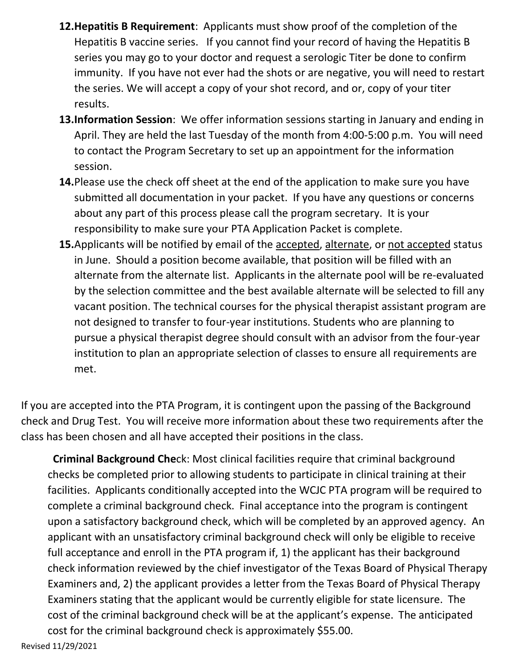- **12.Hepatitis B Requirement**: Applicants must show proof of the completion of the Hepatitis B vaccine series. If you cannot find your record of having the Hepatitis B series you may go to your doctor and request a serologic Titer be done to confirm immunity. If you have not ever had the shots or are negative, you will need to restart the series. We will accept a copy of your shot record, and or, copy of your titer results.
- **13.Information Session**: We offer information sessions starting in January and ending in April. They are held the last Tuesday of the month from 4:00-5:00 p.m. You will need to contact the Program Secretary to set up an appointment for the information session.
- **14.**Please use the check off sheet at the end of the application to make sure you have submitted all documentation in your packet. If you have any questions or concerns about any part of this process please call the program secretary. It is your responsibility to make sure your PTA Application Packet is complete.
- **15.**Applicants will be notified by email of the accepted, alternate, or not accepted status in June. Should a position become available, that position will be filled with an alternate from the alternate list. Applicants in the alternate pool will be re-evaluated by the selection committee and the best available alternate will be selected to fill any vacant position. The technical courses for the physical therapist assistant program are not designed to transfer to four-year institutions. Students who are planning to pursue a physical therapist degree should consult with an advisor from the four-year institution to plan an appropriate selection of classes to ensure all requirements are met.

If you are accepted into the PTA Program, it is contingent upon the passing of the Background check and Drug Test. You will receive more information about these two requirements after the class has been chosen and all have accepted their positions in the class.

 **Criminal Background Che**ck: Most clinical facilities require that criminal background checks be completed prior to allowing students to participate in clinical training at their facilities. Applicants conditionally accepted into the WCJC PTA program will be required to complete a criminal background check. Final acceptance into the program is contingent upon a satisfactory background check, which will be completed by an approved agency. An applicant with an unsatisfactory criminal background check will only be eligible to receive full acceptance and enroll in the PTA program if, 1) the applicant has their background check information reviewed by the chief investigator of the Texas Board of Physical Therapy Examiners and, 2) the applicant provides a letter from the Texas Board of Physical Therapy Examiners stating that the applicant would be currently eligible for state licensure. The cost of the criminal background check will be at the applicant's expense. The anticipated cost for the criminal background check is approximately \$55.00.

Revised 11/29/2021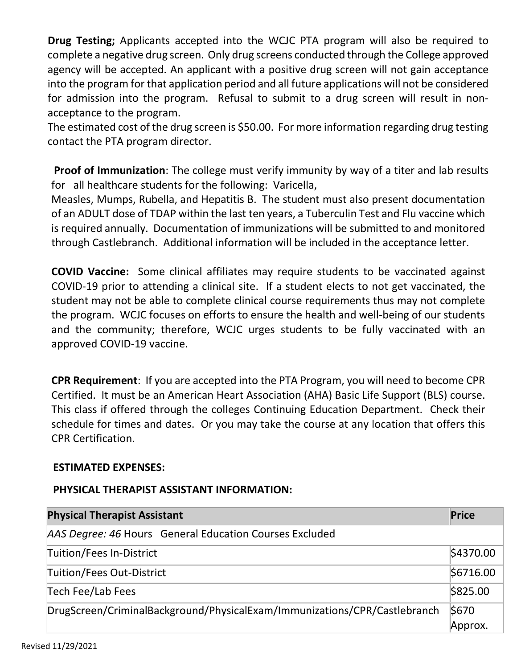**Drug Testing;** Applicants accepted into the WCJC PTA program will also be required to complete a negative drug screen. Only drug screens conducted through the College approved agency will be accepted. An applicant with a positive drug screen will not gain acceptance into the program for that application period and all future applications will not be considered for admission into the program. Refusal to submit to a drug screen will result in nonacceptance to the program.

The estimated cost of the drug screen is \$50.00. For more information regarding drug testing contact the PTA program director.

**Proof of Immunization**: The college must verify immunity by way of a titer and lab results for all healthcare students for the following: Varicella,

Measles, Mumps, Rubella, and Hepatitis B. The student must also present documentation of an ADULT dose of TDAP within the last ten years, a Tuberculin Test and Flu vaccine which is required annually. Documentation of immunizations will be submitted to and monitored through Castlebranch. Additional information will be included in the acceptance letter.

**COVID Vaccine:** Some clinical affiliates may require students to be vaccinated against COVID-19 prior to attending a clinical site. If a student elects to not get vaccinated, the student may not be able to complete clinical course requirements thus may not complete the program. WCJC focuses on efforts to ensure the health and well-being of our students and the community; therefore, WCJC urges students to be fully vaccinated with an approved COVID-19 vaccine.

**CPR Requirement**: If you are accepted into the PTA Program, you will need to become CPR Certified. It must be an American Heart Association (AHA) Basic Life Support (BLS) course. This class if offered through the colleges Continuing Education Department. Check their schedule for times and dates. Or you may take the course at any location that offers this CPR Certification.

## **ESTIMATED EXPENSES:**

## **PHYSICAL THERAPIST ASSISTANT INFORMATION:**

| <b>Physical Therapist Assistant</b>                                       | <b>Price</b> |
|---------------------------------------------------------------------------|--------------|
| AAS Degree: 46 Hours General Education Courses Excluded                   |              |
| Tuition/Fees In-District                                                  | \$4370.00    |
| Tuition/Fees Out-District                                                 | \$6716.00    |
| Tech Fee/Lab Fees                                                         | \$825.00     |
| DrugScreen/CriminalBackground/PhysicalExam/Immunizations/CPR/Castlebranch | \$670        |
|                                                                           | Approx.      |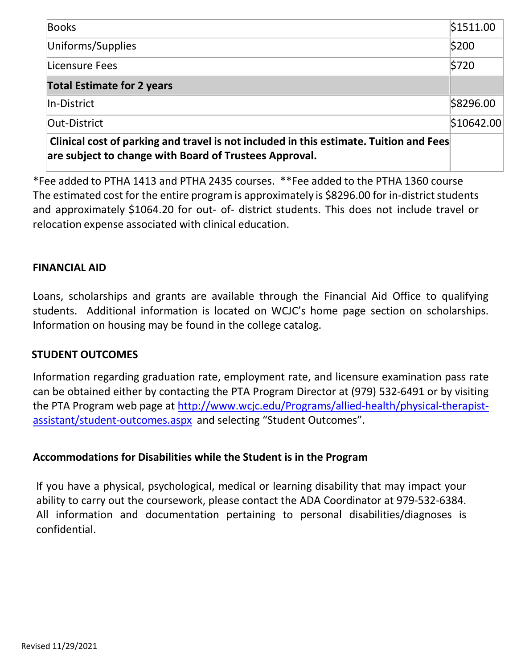| <b>Books</b>                                                                                                                                     | \$1511.00  |
|--------------------------------------------------------------------------------------------------------------------------------------------------|------------|
| Uniforms/Supplies                                                                                                                                | \$200      |
| Licensure Fees                                                                                                                                   | \$720      |
| <b>Total Estimate for 2 years</b>                                                                                                                |            |
| In-District                                                                                                                                      | \$8296.00  |
| Out-District                                                                                                                                     | \$10642.00 |
| Clinical cost of parking and travel is not included in this estimate. Tuition and Fees<br>are subject to change with Board of Trustees Approval. |            |

\*Fee added to PTHA 1413 and PTHA 2435 courses. \*\*Fee added to the PTHA 1360 course The estimated cost for the entire program is approximately is \$8296.00 for in-district students and approximately \$1064.20 for out- of- district students. This does not include travel or relocation expense associated with clinical education.

## **FINANCIAL AID**

Loans, scholarships and grants are available through the Financial Aid Office to qualifying students. Additional information is located on WCJC's home page section on scholarships. Information on housing may be found in the college catalog.

#### **STUDENT OUTCOMES**

Information regarding graduation rate, employment rate, and licensure examination pass rate can be obtained either by contacting the PTA Program Director at (979) 532-6491 or by visiting the PTA Program web page at [http://www.wcjc.edu/Programs/allied-health/physical-therapist](http://www.wcjc.edu/Programs/allied-health/physical-therapist-assistant/student-outcomes.aspx)[assistant/student-outcomes.aspx](http://www.wcjc.edu/Programs/allied-health/physical-therapist-assistant/student-outcomes.aspx) and selecting "Student Outcomes".

## **Accommodations for Disabilities while the Student is in the Program**

If you have a physical, psychological, medical or learning disability that may impact your ability to carry out the coursework, please contact the ADA Coordinator at 979-532-6384. All information and documentation pertaining to personal disabilities/diagnoses is confidential.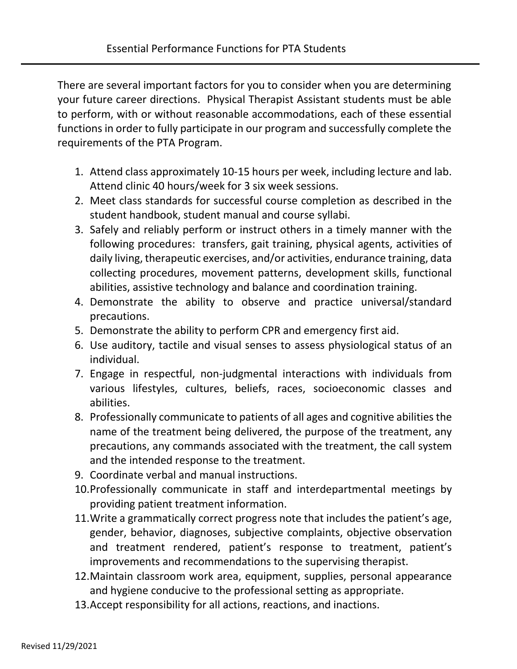There are several important factors for you to consider when you are determining your future career directions. Physical Therapist Assistant students must be able to perform, with or without reasonable accommodations, each of these essential functions in order to fully participate in our program and successfully complete the requirements of the PTA Program.

- 1. Attend class approximately 10-15 hours per week, including lecture and lab. Attend clinic 40 hours/week for 3 six week sessions.
- 2. Meet class standards for successful course completion as described in the student handbook, student manual and course syllabi.
- 3. Safely and reliably perform or instruct others in a timely manner with the following procedures: transfers, gait training, physical agents, activities of daily living, therapeutic exercises, and/or activities, endurance training, data collecting procedures, movement patterns, development skills, functional abilities, assistive technology and balance and coordination training.
- 4. Demonstrate the ability to observe and practice universal/standard precautions.
- 5. Demonstrate the ability to perform CPR and emergency first aid.
- 6. Use auditory, tactile and visual senses to assess physiological status of an individual.
- 7. Engage in respectful, non-judgmental interactions with individuals from various lifestyles, cultures, beliefs, races, socioeconomic classes and abilities.
- 8. Professionally communicate to patients of all ages and cognitive abilities the name of the treatment being delivered, the purpose of the treatment, any precautions, any commands associated with the treatment, the call system and the intended response to the treatment.
- 9. Coordinate verbal and manual instructions.
- 10.Professionally communicate in staff and interdepartmental meetings by providing patient treatment information.
- 11.Write a grammatically correct progress note that includes the patient's age, gender, behavior, diagnoses, subjective complaints, objective observation and treatment rendered, patient's response to treatment, patient's improvements and recommendations to the supervising therapist.
- 12.Maintain classroom work area, equipment, supplies, personal appearance and hygiene conducive to the professional setting as appropriate.
- 13.Accept responsibility for all actions, reactions, and inactions.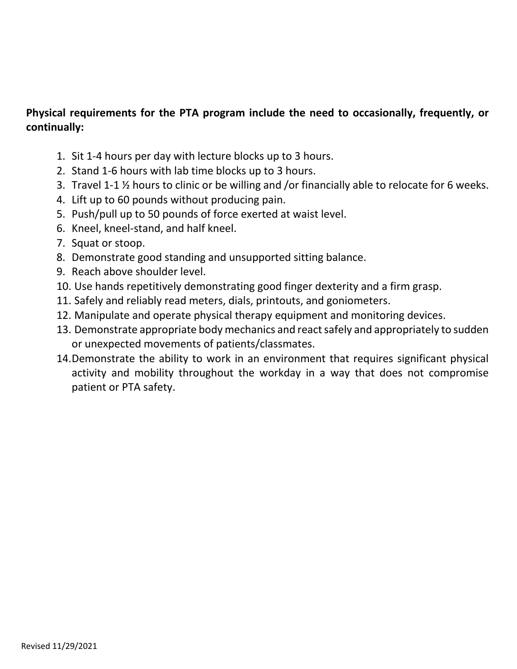## **Physical requirements for the PTA program include the need to occasionally, frequently, or continually:**

- 1. Sit 1-4 hours per day with lecture blocks up to 3 hours.
- 2. Stand 1-6 hours with lab time blocks up to 3 hours.
- 3. Travel 1-1 ½ hours to clinic or be willing and /or financially able to relocate for 6 weeks.
- 4. Lift up to 60 pounds without producing pain.
- 5. Push/pull up to 50 pounds of force exerted at waist level.
- 6. Kneel, kneel-stand, and half kneel.
- 7. Squat or stoop.
- 8. Demonstrate good standing and unsupported sitting balance.
- 9. Reach above shoulder level.
- 10. Use hands repetitively demonstrating good finger dexterity and a firm grasp.
- 11. Safely and reliably read meters, dials, printouts, and goniometers.
- 12. Manipulate and operate physical therapy equipment and monitoring devices.
- 13. Demonstrate appropriate body mechanics and react safely and appropriately to sudden or unexpected movements of patients/classmates.
- 14.Demonstrate the ability to work in an environment that requires significant physical activity and mobility throughout the workday in a way that does not compromise patient or PTA safety.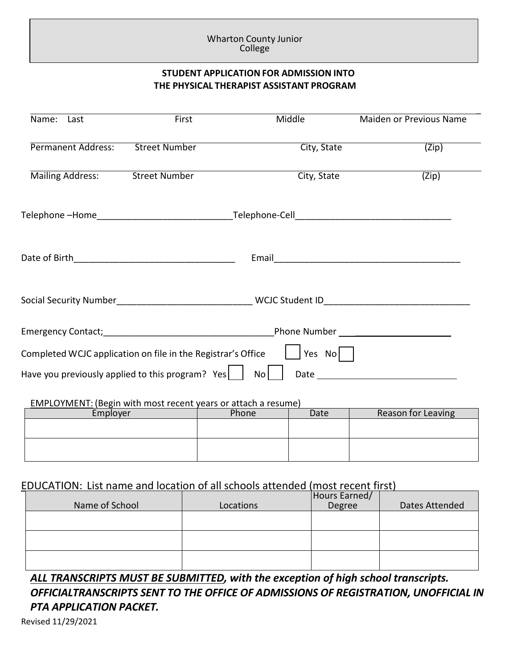#### Wharton County Junior<br>The basis of race, age, marital status, national origin, religion, sex, or disability or disability of religio College

#### **STUDENT APPLICATION FOR ADMISSION INTO THE PHYSICAL THERAPIST ASSISTANT PROGRAM**

| Name: Last                | First                                                                | Middle        | Maiden or Previous Name                                                                                                                                                                                                        |
|---------------------------|----------------------------------------------------------------------|---------------|--------------------------------------------------------------------------------------------------------------------------------------------------------------------------------------------------------------------------------|
| <b>Permanent Address:</b> | <b>Street Number</b>                                                 | City, State   | (Zip)                                                                                                                                                                                                                          |
| Mailing Address:          | <b>Street Number</b>                                                 | City, State   | $\overline{(Zip)}$                                                                                                                                                                                                             |
|                           |                                                                      |               |                                                                                                                                                                                                                                |
|                           |                                                                      |               |                                                                                                                                                                                                                                |
|                           |                                                                      |               |                                                                                                                                                                                                                                |
|                           |                                                                      |               |                                                                                                                                                                                                                                |
|                           | Completed WCJC application on file in the Registrar's Office         | Yes $No$      |                                                                                                                                                                                                                                |
|                           | Have you previously applied to this program? Yes $\vert$             | No            | Date and the contract of the contract of the contract of the contract of the contract of the contract of the contract of the contract of the contract of the contract of the contract of the contract of the contract of the c |
|                           | <b>EMPLOYMENT:</b> (Begin with most recent years or attach a resume) |               |                                                                                                                                                                                                                                |
| Employer                  |                                                                      | Date<br>Phone | <b>Reason for Leaving</b>                                                                                                                                                                                                      |
|                           |                                                                      |               |                                                                                                                                                                                                                                |
|                           |                                                                      |               |                                                                                                                                                                                                                                |

## EDUCATION: List name and location of all schools attended (most recent first)

| Name of School | Locations | Hours Earned/<br>Degree | Dates Attended |
|----------------|-----------|-------------------------|----------------|
|                |           |                         |                |
|                |           |                         |                |
|                |           |                         |                |

*ALL TRANSCRIPTS MUST BE SUBMITTED, with the exception of high school transcripts. OFFICIALTRANSCRIPTS SENT TO THE OFFICE OF ADMISSIONS OF REGISTRATION, UNOFFICIAL IN PTA APPLICATION PACKET.*

Revised 11/29/2021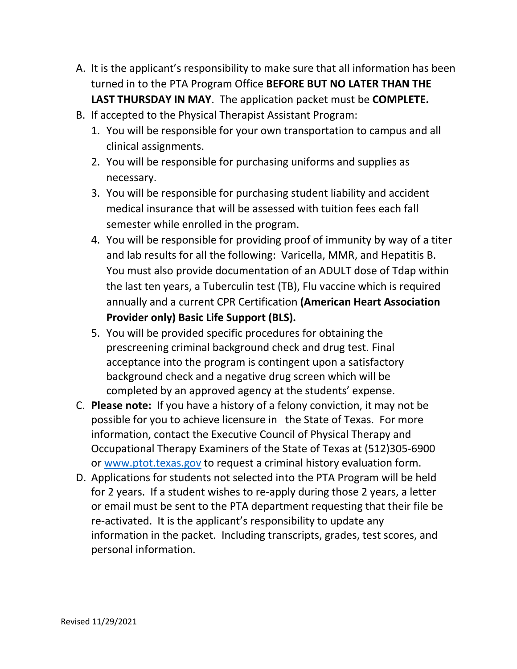- A. It is the applicant's responsibility to make sure that all information has been turned in to the PTA Program Office **BEFORE BUT NO LATER THAN THE LAST THURSDAY IN MAY**. The application packet must be **COMPLETE.**
- B. If accepted to the Physical Therapist Assistant Program:
	- 1. You will be responsible for your own transportation to campus and all clinical assignments.
	- 2. You will be responsible for purchasing uniforms and supplies as necessary.
	- 3. You will be responsible for purchasing student liability and accident medical insurance that will be assessed with tuition fees each fall semester while enrolled in the program.
	- 4. You will be responsible for providing proof of immunity by way of a titer and lab results for all the following: Varicella, MMR, and Hepatitis B. You must also provide documentation of an ADULT dose of Tdap within the last ten years, a Tuberculin test (TB), Flu vaccine which is required annually and a current CPR Certification **(American Heart Association Provider only) Basic Life Support (BLS).**
	- 5. You will be provided specific procedures for obtaining the prescreening criminal background check and drug test. Final acceptance into the program is contingent upon a satisfactory background check and a negative drug screen which will be completed by an approved agency at the students' expense.
- C. **Please note:** If you have a history of a felony conviction, it may not be possible for you to achieve licensure in the State of Texas. For more information, contact the Executive Council of Physical Therapy and Occupational Therapy Examiners of the State of Texas at (512)305-6900 or [www.ptot.texas.gov](http://www.ptot.texas.gov/) to request a criminal history evaluation form.
- D. Applications for students not selected into the PTA Program will be held for 2 years. If a student wishes to re-apply during those 2 years, a letter or email must be sent to the PTA department requesting that their file be re-activated. It is the applicant's responsibility to update any information in the packet. Including transcripts, grades, test scores, and personal information.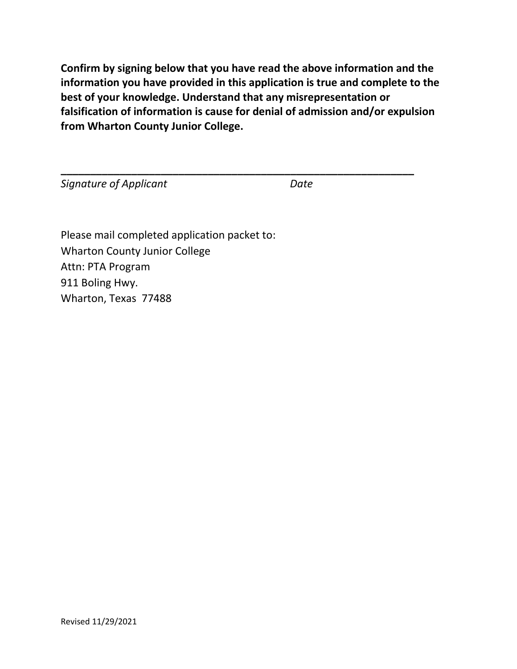**Confirm by signing below that you have read the above information and the information you have provided in this application is true and complete to the best of your knowledge. Understand that any misrepresentation or falsification of information is cause for denial of admission and/or expulsion from Wharton County Junior College.**

**\_\_\_\_\_\_\_\_\_\_\_\_\_\_\_\_\_\_\_\_\_\_\_\_\_\_\_\_\_\_\_\_\_\_\_\_\_\_\_\_\_\_\_\_\_\_\_\_\_\_\_\_\_\_\_\_\_\_\_\_**

**Signature of Applicant** Date Date

Please mail completed application packet to: Wharton County Junior College Attn: PTA Program 911 Boling Hwy. Wharton, Texas 77488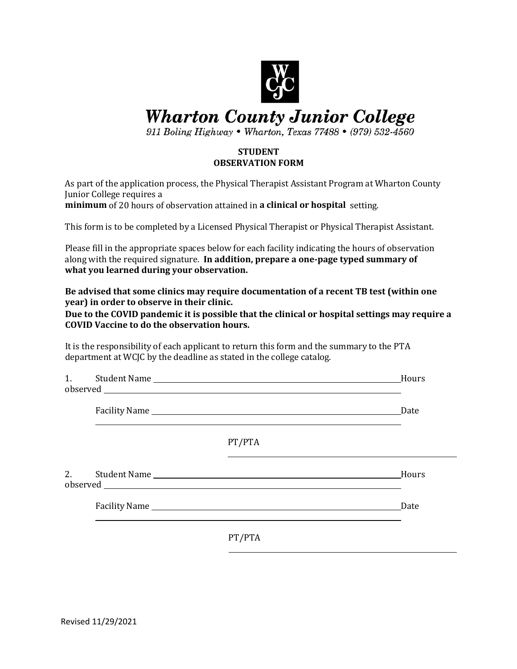

## **Wharton County Junior College**

911 Boling Highway • Wharton, Texas 77488 • (979) 532-4560

#### **STUDENT OBSERVATION FORM**

As part of the application process, the Physical Therapist Assistant Program at Wharton County Junior College requires a

**minimum** of 20 hours of observation attained in **a clinical or hospital** setting.

This form is to be completed by a Licensed Physical Therapist or Physical Therapist Assistant.

Please fill in the appropriate spaces below for each facility indicating the hours of observation along with the required signature. **In addition, prepare a one-page typed summary of what you learned during your observation.**

**Be advised that some clinics may require documentation of a recent TB test (within one year) in order to observe in their clinic.** 

**Due to the COVID pandemic it is possible that the clinical or hospital settings may require a COVID Vaccine to do the observation hours.**

It is the responsibility of each applicant to return this form and the summary to the PTA department at WCJC by the deadline as stated in the college catalog.

|    |        | Hours |
|----|--------|-------|
|    |        | Date  |
|    | PT/PTA |       |
| 2. |        | Hours |
|    |        | Date  |
|    | PT/PTA |       |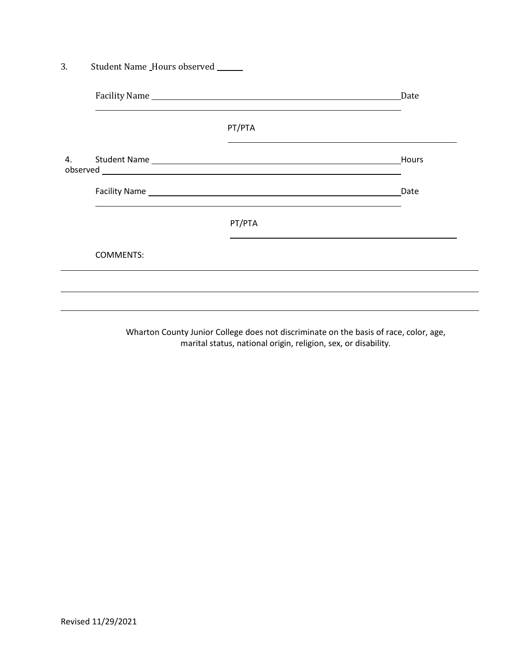|    |                  |        | Date  |
|----|------------------|--------|-------|
|    |                  |        |       |
|    |                  | PT/PTA |       |
| 4. |                  |        | Hours |
|    |                  |        | Date  |
|    |                  | PT/PTA |       |
|    | <b>COMMENTS:</b> |        |       |

Wharton County Junior College does not discriminate on the basis of race, color, age, marital status, national origin, religion, sex, or disability.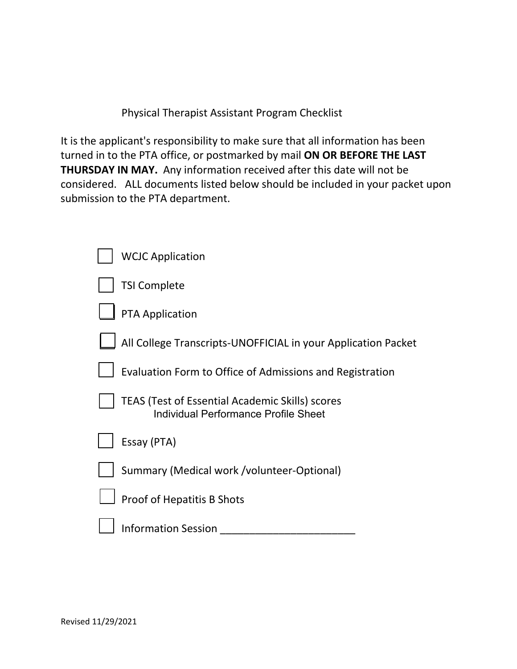Physical Therapist Assistant Program Checklist

It is the applicant's responsibility to make sure that all information has been turned in to the PTA office, or postmarked by mail **ON OR BEFORE THE LAST THURSDAY IN MAY.** Any information received after this date will not be considered. ALL documents listed below should be included in your packet upon submission to the PTA department.

| <b>WCJC Application</b>                                                                        |
|------------------------------------------------------------------------------------------------|
| <b>TSI Complete</b>                                                                            |
| <b>PTA Application</b>                                                                         |
| All College Transcripts-UNOFFICIAL in your Application Packet                                  |
| Evaluation Form to Office of Admissions and Registration                                       |
| <b>TEAS (Test of Essential Academic Skills) scores</b><br>Individual Performance Profile Sheet |
| Essay (PTA)                                                                                    |
| Summary (Medical work /volunteer-Optional)                                                     |
| <b>Proof of Hepatitis B Shots</b>                                                              |
| <b>Information Session</b>                                                                     |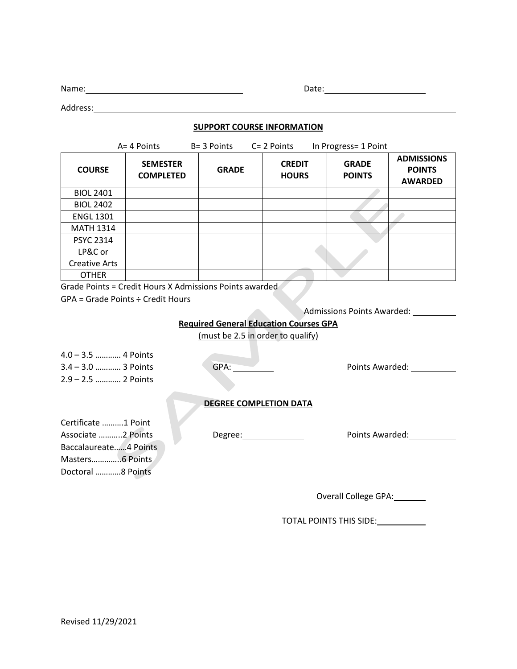| Name:   | Date: |  |
|---------|-------|--|
|         |       |  |
| ddress: |       |  |

### **SUPPORT COURSE INFORMATION**

|                                               | A= 4 Points                                             | B= 3 Points  | $C = 2$ Points                | In Progress= 1 Point          |                                                      |  |
|-----------------------------------------------|---------------------------------------------------------|--------------|-------------------------------|-------------------------------|------------------------------------------------------|--|
| <b>COURSE</b>                                 | <b>SEMESTER</b><br><b>COMPLETED</b>                     | <b>GRADE</b> | <b>CREDIT</b><br><b>HOURS</b> | <b>GRADE</b><br><b>POINTS</b> | <b>ADMISSIONS</b><br><b>POINTS</b><br><b>AWARDED</b> |  |
| <b>BIOL 2401</b>                              |                                                         |              |                               |                               |                                                      |  |
| <b>BIOL 2402</b>                              |                                                         |              |                               |                               |                                                      |  |
| <b>ENGL 1301</b>                              |                                                         |              |                               |                               |                                                      |  |
| <b>MATH 1314</b>                              |                                                         |              |                               |                               |                                                      |  |
| <b>PSYC 2314</b>                              |                                                         |              |                               |                               |                                                      |  |
| LP&C or                                       |                                                         |              |                               |                               |                                                      |  |
| <b>Creative Arts</b>                          |                                                         |              |                               |                               |                                                      |  |
| <b>OTHER</b>                                  |                                                         |              |                               |                               |                                                      |  |
|                                               | Grade Points = Credit Hours X Admissions Points awarded |              |                               |                               |                                                      |  |
| $GPA = Grade Points \div Credit Hours$        |                                                         |              |                               |                               |                                                      |  |
| <b>Admissions Points Awarded:</b>             |                                                         |              |                               |                               |                                                      |  |
| <b>Required General Education Courses GPA</b> |                                                         |              |                               |                               |                                                      |  |
| (must be 2.5 in order to qualify)             |                                                         |              |                               |                               |                                                      |  |

| $4.0 - 3.5$ 4 Points<br>3.4 – 3.0   3 Points<br>2.9 – 2.5   2 Points | GPA:                          | Points Awarded: |
|----------------------------------------------------------------------|-------------------------------|-----------------|
|                                                                      | <b>DEGREE COMPLETION DATA</b> |                 |
| Certificate 1 Point                                                  |                               |                 |
| Associate 2 Points                                                   | Degree:                       | Points Awarded: |
| Baccalaureate4 Points                                                |                               |                 |
|                                                                      |                               |                 |
| Doctoral 8 Points                                                    |                               |                 |

Overall College GPA:

TOTAL POINTS THIS SIDE: